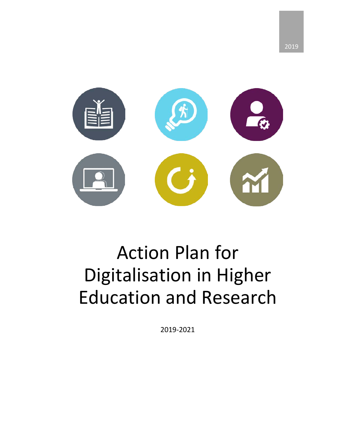

# Action Plan for Digitalisation in Higher Education and Research

2019-2021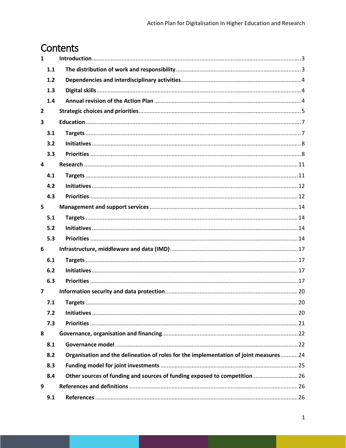# Contents

| $\mathbf{1}$   |                                                                                       |  |
|----------------|---------------------------------------------------------------------------------------|--|
| 1.1            |                                                                                       |  |
| 1.2            |                                                                                       |  |
| 1.3            |                                                                                       |  |
| 1.4            |                                                                                       |  |
| $\mathbf{2}$   |                                                                                       |  |
| 3              |                                                                                       |  |
| 3.1            |                                                                                       |  |
| 3.2            |                                                                                       |  |
| 3.3            |                                                                                       |  |
| 4              |                                                                                       |  |
| 4.1            |                                                                                       |  |
| 4.2            |                                                                                       |  |
| 4.3            |                                                                                       |  |
| 5              |                                                                                       |  |
| 5.1            |                                                                                       |  |
| 5.2            |                                                                                       |  |
| 5.3            |                                                                                       |  |
| 6              |                                                                                       |  |
| 6.1            |                                                                                       |  |
| 6.2            |                                                                                       |  |
| 6.3            |                                                                                       |  |
| $\overline{7}$ |                                                                                       |  |
| 7.1            |                                                                                       |  |
| 7.2            |                                                                                       |  |
| 7.3            |                                                                                       |  |
| 8              |                                                                                       |  |
| 8.1            |                                                                                       |  |
| 8.2            | Organisation and the delineation of roles for the implementation of joint measures 24 |  |
| 8.3            |                                                                                       |  |
| 8.4            | Other sources of funding and sources of funding exposed to competition26              |  |
| 9              |                                                                                       |  |
| 9.1            |                                                                                       |  |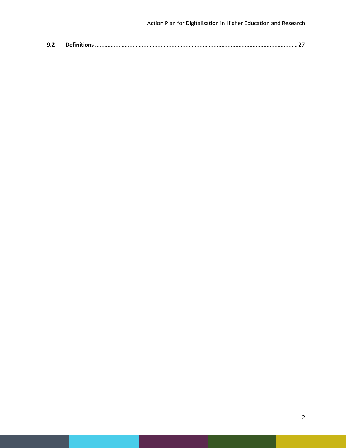| 9.2 |  |  |
|-----|--|--|
|-----|--|--|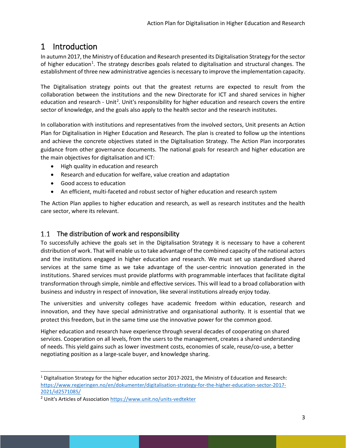# <span id="page-3-0"></span>1 Introduction

In autumn 2017, the Ministry of Education and Research presented its Digitalisation Strategy for the sector of higher education<sup>[1](#page-3-2)</sup>. The strategy describes goals related to digitalisation and structural changes. The establishment of three new administrative agencies is necessary to improve the implementation capacity.

The Digitalisation strategy points out that the greatest returns are expected to result from the collaboration between the institutions and the new Directorate for ICT and shared services in higher education and research - Unit<sup>[2](#page-3-3)</sup>. Unit's responsibility for higher education and research covers the entire sector of knowledge, and the goals also apply to the health sector and the research institutes.

In collaboration with institutions and representatives from the involved sectors, Unit presents an Action Plan for Digitalisation in Higher Education and Research. The plan is created to follow up the intentions and achieve the concrete objectives stated in the Digitalisation Strategy. The Action Plan incorporates guidance from other governance documents. The national goals for research and higher education are the main objectives for digitalisation and ICT:

- High quality in education and research
- Research and education for welfare, value creation and adaptation
- Good access to education
- An efficient, multi-faceted and robust sector of higher education and research system

The Action Plan applies to higher education and research, as well as research institutes and the health care sector, where its relevant.

## <span id="page-3-1"></span>1.1 The distribution of work and responsibility

To successfully achieve the goals set in the Digitalisation Strategy it is necessary to have a coherent distribution of work. That will enable us to take advantage of the combined capacity of the national actors and the institutions engaged in higher education and research. We must set up standardised shared services at the same time as we take advantage of the user-centric innovation generated in the institutions. Shared services must provide platforms with programmable interfaces that facilitate digital transformation through simple, nimble and effective services. This will lead to a broad collaboration with business and industry in respect of innovation, like several institutions already enjoy today.

The universities and university colleges have academic freedom within education, research and innovation, and they have special administrative and organisational authority. It is essential that we protect this freedom, but in the same time use the innovative power for the common good.

Higher education and research have experience through several decades of cooperating on shared services. Cooperation on all levels, from the users to the management, creates a shared understanding of needs. This yield gains such as lower investment costs, economies of scale, reuse/co-use, a better negotiating position as a large-scale buyer, and knowledge sharing.

<span id="page-3-2"></span> $1$  Digitalisation Strategy for the higher education sector 2017-2021, the Ministry of Education and Research: [https://www.regjeringen.no/en/dokumenter/digitalisation-strategy-for-the-higher-education-sector-2017-](https://www.regjeringen.no/en/dokumenter/digitalisation-strategy-for-the-higher-education-sector-2017-2021/id2571085/) [2021/id2571085/](https://www.regjeringen.no/en/dokumenter/digitalisation-strategy-for-the-higher-education-sector-2017-2021/id2571085/)

<span id="page-3-3"></span><sup>&</sup>lt;sup>2</sup> Unit's Articles of Association <https://www.unit.no/units-vedtekter>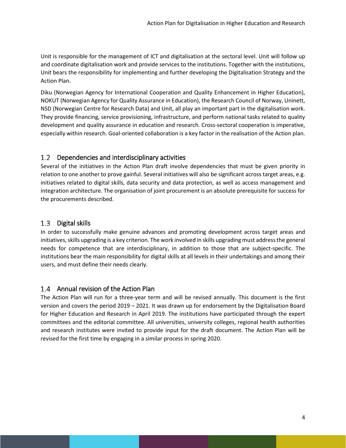Unit is responsible for the management of ICT and digitalisation at the sectoral level. Unit will follow up and coordinate digitalisation work and provide services to the institutions. Together with the institutions, Unit bears the responsibility for implementing and further developing the Digitalisation Strategy and the Action Plan.

Diku (Norwegian Agency for International Cooperation and Quality Enhancement in Higher Education), NOKUT (Norwegian Agency for Quality Assurance in Education), the Research Council of Norway, Uninett, NSD (Norwegian Centre for Research Data) and Unit, all play an important part in the digitalisation work. They provide financing, service provisioning, infrastructure, and perform national tasks related to quality development and quality assurance in education and research. Cross-sectoral cooperation is imperative, especially within research. Goal-oriented collaboration is a key factor in the realisation of the Action plan.

## <span id="page-4-0"></span>1.2 Dependencies and interdisciplinary activities

Several of the initiatives in the Action Plan draft involve dependencies that must be given priority in relation to one another to prove gainful. Several initiatives will also be significant across target areas, e.g. initiatives related to digital skills, data security and data protection, as well as access management and integration architecture. The organisation of joint procurement is an absolute prerequisite for success for the procurements described.

#### <span id="page-4-1"></span>1.3 Digital skills

In order to successfully make genuine advances and promoting development across target areas and initiatives, skills upgrading is a key criterion. The work involved in skills upgrading must address the general needs for competence that are interdisciplinary, in addition to those that are subject-specific. The institutions bear the main responsibility for digital skills at all levels in their undertakings and among their users, and must define their needs clearly.

## <span id="page-4-2"></span>1.4 Annual revision of the Action Plan

The Action Plan will run for a three-year term and will be revised annually. This document is the first version and covers the period 2019 – 2021. It was drawn up for endorsement by the Digitalisation Board for Higher Education and Research in April 2019. The institutions have participated through the expert committees and the editorial committee. All universities, university colleges, regional health authorities and research institutes were invited to provide input for the draft document. The Action Plan will be revised for the first time by engaging in a similar process in spring 2020.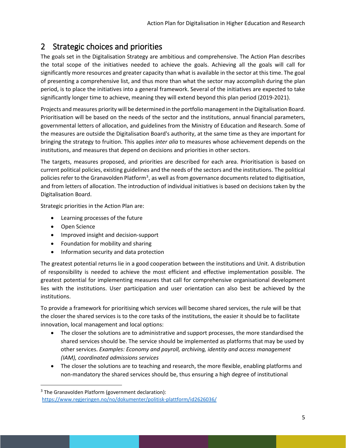# <span id="page-5-0"></span>2 Strategic choices and priorities

The goals set in the Digitalisation Strategy are ambitious and comprehensive. The Action Plan describes the total scope of the initiatives needed to achieve the goals. Achieving all the goals will call for significantly more resources and greater capacity than what is available in the sector at this time. The goal of presenting a comprehensive list, and thus more than what the sector may accomplish during the plan period, is to place the initiatives into a general framework. Several of the initiatives are expected to take significantly longer time to achieve, meaning they will extend beyond this plan period (2019-2021).

Projects and measures priority will be determined in the portfolio management in the Digitalisation Board. Prioritisation will be based on the needs of the sector and the institutions, annual financial parameters, governmental letters of allocation, and guidelines from the Ministry of Education and Research. Some of the measures are outside the Digitalisation Board's authority, at the same time as they are important for bringing the strategy to fruition. This applies *inter alia* to measures whose achievement depends on the institutions, and measures that depend on decisions and priorities in other sectors.

The targets, measures proposed, and priorities are described for each area. Prioritisation is based on current political policies, existing guidelines and the needs of the sectors and the institutions. The political policies refer to the Granavolden Platform<sup>[3](#page-5-1)</sup>, as well as from governance documents related to digitisation, and from letters of allocation. The introduction of individual initiatives is based on decisions taken by the Digitalisation Board.

Strategic priorities in the Action Plan are:

- Learning processes of the future
- Open Science
- Improved insight and decision-support
- Foundation for mobility and sharing
- Information security and data protection

The greatest potential returns lie in a good cooperation between the institutions and Unit. A distribution of responsibility is needed to achieve the most efficient and effective implementation possible. The greatest potential for implementing measures that call for comprehensive organisational development lies with the institutions. User participation and user orientation can also best be achieved by the institutions.

To provide a framework for prioritising which services will become shared services, the rule will be that the closer the shared services is to the core tasks of the institutions, the easier it should be to facilitate innovation, local management and local options:

- The closer the solutions are to administrative and support processes, the more standardised the shared services should be. The service should be implemented as platforms that may be used by other services. *Examples: Economy and payroll, archiving, identity and access management (IAM), coordinated admissions services*
- The closer the solutions are to teaching and research, the more flexible, enabling platforms and non-mandatory the shared services should be, thus ensuring a high degree of institutional

<span id="page-5-1"></span><sup>&</sup>lt;sup>3</sup> The Granavolden Platform (government declaration): <https://www.regjeringen.no/no/dokumenter/politisk-plattform/id2626036/>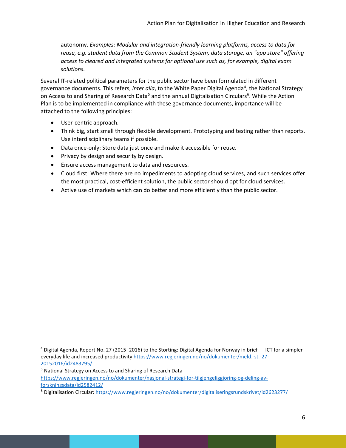autonomy. *Examples: Modular and integration-friendly learning platforms, access to data for reuse, e.g. student data from the Common Student System, data storage, an "app store" offering access to cleared and integrated systems for optional use such as, for example, digital exam solutions.*

Several IT-related political parameters for the public sector have been formulated in different governance documents. This refers, *inter alia*, to the White Paper Digital Agenda<sup>[4](#page-6-0)</sup>, the National Strategy on Access to and Sharing of Research Data<sup>[5](#page-6-1)</sup> and the annual Digitalisation Circulars<sup>6</sup>. While the Action Plan is to be implemented in compliance with these governance documents, importance will be attached to the following principles:

- User-centric approach.
- Think big, start small through flexible development. Prototyping and testing rather than reports. Use interdisciplinary teams if possible.
- Data once-only: Store data just once and make it accessible for reuse.
- Privacy by design and security by design.
- Ensure access management to data and resources.
- Cloud first: Where there are no impediments to adopting cloud services, and such services offer the most practical, cost-efficient solution, the public sector should opt for cloud services.
- Active use of markets which can do better and more efficiently than the public sector.

<span id="page-6-0"></span> <sup>4</sup> Digital Agenda, Report No. 27 (2015–2016) to the Storting: Digital Agenda for Norway in brief — ICT for a simpler everyday life and increased productivit[y https://www.regjeringen.no/no/dokumenter/meld.-st.-27-](https://www.regjeringen.no/no/dokumenter/meld.-st.-27-20152016/id2483795/) [20152016/id2483795/](https://www.regjeringen.no/no/dokumenter/meld.-st.-27-20152016/id2483795/)

<span id="page-6-1"></span><sup>5</sup> National Strategy on Access to and Sharing of Research Data [https://www.regjeringen.no/no/dokumenter/nasjonal-strategi-for-tilgjengeliggjoring-og-deling-av](https://www.regjeringen.no/no/dokumenter/nasjonal-strategi-for-tilgjengeliggjoring-og-deling-av-forskningsdata/id2582412/)[forskningsdata/id2582412/](https://www.regjeringen.no/no/dokumenter/nasjonal-strategi-for-tilgjengeliggjoring-og-deling-av-forskningsdata/id2582412/)

<span id="page-6-2"></span><sup>6</sup> Digitalisation Circular[: https://www.regjeringen.no/no/dokumenter/digitaliseringsrundskrivet/id2623277/](https://www.regjeringen.no/no/dokumenter/digitaliseringsrundskrivet/id2623277/)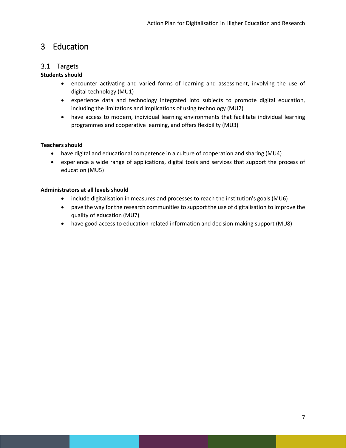# <span id="page-7-0"></span>3 Education

## <span id="page-7-1"></span>3.1 Targets

#### **Students should**

- encounter activating and varied forms of learning and assessment, involving the use of digital technology (MU1)
- experience data and technology integrated into subjects to promote digital education, including the limitations and implications of using technology (MU2)
- have access to modern, individual learning environments that facilitate individual learning programmes and cooperative learning, and offers flexibility (MU3)

#### **Teachers should**

- have digital and educational competence in a culture of cooperation and sharing (MU4)
- experience a wide range of applications, digital tools and services that support the process of education (MU5)

#### **Administrators at all levels should**

- include digitalisation in measures and processes to reach the institution's goals (MU6)
- pave the way for the research communities to support the use of digitalisation to improve the quality of education (MU7)
- have good access to education-related information and decision-making support (MU8)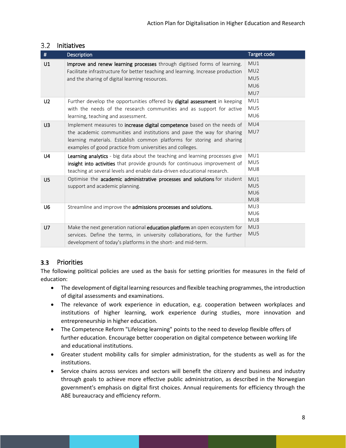| #              | <b>Description</b>                                                                                                                                                                                                                                                                       | Target code                          |
|----------------|------------------------------------------------------------------------------------------------------------------------------------------------------------------------------------------------------------------------------------------------------------------------------------------|--------------------------------------|
| U1             | Improve and renew learning processes through digitised forms of learning.<br>Facilitate infrastructure for better teaching and learning. Increase production<br>and the sharing of digital learning resources.                                                                           | MU1<br>MU2<br>MU5<br>MU6<br>MU7      |
| U <sub>2</sub> | Further develop the opportunities offered by digital assessment in keeping<br>with the needs of the research communities and as support for active<br>learning, teaching and assessment.                                                                                                 | MU1<br>MUS<br>MU <sub>6</sub>        |
| U <sub>3</sub> | Implement measures to increase digital competence based on the needs of<br>the academic communities and institutions and pave the way for sharing<br>learning materials. Establish common platforms for storing and sharing<br>examples of good practice from universities and colleges. | MU4<br>MU7                           |
| U4             | Learning analytics - big data about the teaching and learning processes give<br>insight into activities that provide grounds for continuous improvement of<br>teaching at several levels and enable data-driven educational research.                                                    | MU1<br>MU5<br>MU8                    |
| U <sub>5</sub> | Optimise the academic administrative processes and solutions for student<br>support and academic planning.                                                                                                                                                                               | MU1<br>MU5<br>MU <sub>6</sub><br>MU8 |
| U <sub>6</sub> | Streamline and improve the admissions processes and solutions.                                                                                                                                                                                                                           | MU3<br>MU <sub>6</sub><br>MU8        |
| U <sub>7</sub> | Make the next generation national education platform an open ecosystem for<br>services. Define the terms, in university collaborations, for the further<br>development of today's platforms in the short- and mid-term.                                                                  | MU3<br>MU5                           |

#### <span id="page-8-0"></span>3.2 Initiatives

## <span id="page-8-1"></span>3.3 Priorities

The following political policies are used as the basis for setting priorities for measures in the field of education:

- The development of digital learning resources and flexible teaching programmes, the introduction of digital assessments and examinations.
- The relevance of work experience in education, e.g. cooperation between workplaces and institutions of higher learning, work experience during studies, more innovation and entrepreneurship in higher education.
- The Competence Reform "Lifelong learning" points to the need to develop flexible offers of further education. Encourage better cooperation on digital competence between working life and educational institutions.
- Greater student mobility calls for simpler administration, for the students as well as for the institutions.
- Service chains across services and sectors will benefit the citizenry and business and industry through goals to achieve more effective public administration, as described in the Norwegian government's emphasis on digital first choices. Annual requirements for efficiency through the ABE bureaucracy and efficiency reform.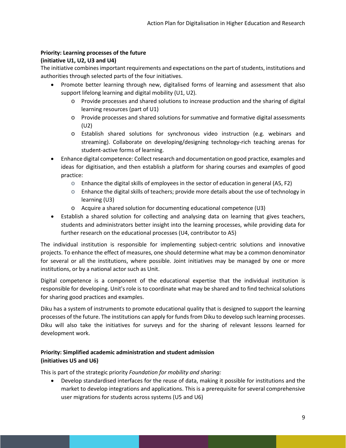#### **Priority: Learning processes of the future**

#### **(initiative U1, U2, U3 and U4)**

The initiative combines important requirements and expectations on the part of students, institutions and authorities through selected parts of the four initiatives.

- Promote better learning through new, digitalised forms of learning and assessment that also support lifelong learning and digital mobility (U1, U2).
	- o Provide processes and shared solutions to increase production and the sharing of digital learning resources (part of U1)
	- o Provide processes and shared solutions for summative and formative digital assessments (U2)
	- o Establish shared solutions for synchronous video instruction (e.g. webinars and streaming). Collaborate on developing/designing technology-rich teaching arenas for student-active forms of learning.
- Enhance digital competence: Collect research and documentation on good practice, examples and ideas for digitisation, and then establish a platform for sharing courses and examples of good practice:
	- $\circ$  Enhance the digital skills of employees in the sector of education in general (A5, F2)
	- $\circ$  Enhance the digital skills of teachers; provide more details about the use of technology in learning (U3)
	- o Acquire a shared solution for documenting educational competence (U3)
- Establish a shared solution for collecting and analysing data on learning that gives teachers, students and administrators better insight into the learning processes, while providing data for further research on the educational processes (U4, contributor to A5)

The individual institution is responsible for implementing subject-centric solutions and innovative projects. To enhance the effect of measures, one should determine what may be a common denominator for several or all the institutions, where possible. Joint initiatives may be managed by one or more institutions, or by a national actor such as Unit.

Digital competence is a component of the educational expertise that the individual institution is responsible for developing. Unit's role is to coordinate what may be shared and to find technical solutions for sharing good practices and examples.

Diku has a system of instruments to promote educational quality that is designed to support the learning processes of the future. The institutions can apply for funds from Diku to develop such learning processes. Diku will also take the initiatives for surveys and for the sharing of relevant lessons learned for development work.

#### **Priority: Simplified academic administration and student admission (initiatives U5 and U6)**

This is part of the strategic priority *Foundation for mobility and sharing:*

• Develop standardised interfaces for the reuse of data, making it possible for institutions and the market to develop integrations and applications. This is a prerequisite for several comprehensive user migrations for students across systems (U5 and U6)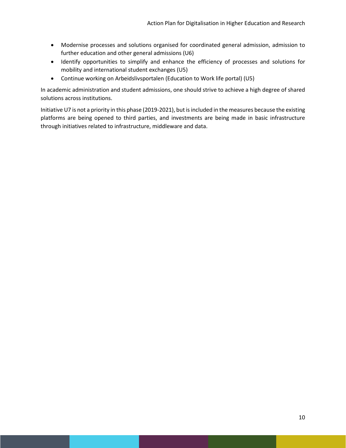- Modernise processes and solutions organised for coordinated general admission, admission to further education and other general admissions (U6)
- Identify opportunities to simplify and enhance the efficiency of processes and solutions for mobility and international student exchanges (U5)
- Continue working on Arbeidslivsportalen (Education to Work life portal) (U5)

In academic administration and student admissions, one should strive to achieve a high degree of shared solutions across institutions.

Initiative U7 is not a priority in this phase (2019-2021), but isincluded in the measures because the existing platforms are being opened to third parties, and investments are being made in basic infrastructure through initiatives related to infrastructure, middleware and data.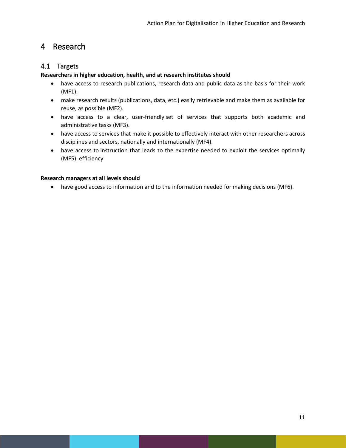# <span id="page-11-0"></span>4 Research

## <span id="page-11-1"></span>4.1 Targets

#### **Researchers in higher education, health, and at research institutes should**

- have access to research publications, research data and public data as the basis for their work (MF1).
- make research results (publications, data, etc.) easily retrievable and make them as available for reuse, as possible (MF2).
- have access to a clear, user-friendly set of services that supports both academic and administrative tasks (MF3).
- have access to services that make it possible to effectively interact with other researchers across disciplines and sectors, nationally and internationally (MF4).
- have access to instruction that leads to the expertise needed to exploit the services optimally (MF5). efficiency

#### **Research managers at all levels should**

• have good access to information and to the information needed for making decisions (MF6).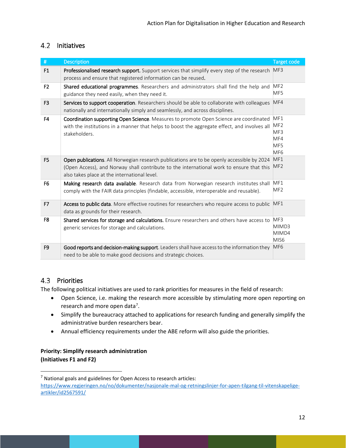# <span id="page-12-0"></span>4.2 Initiatives

| $\#$           | <b>Description</b>                                                                                                                                                                                                                     | <b>Target code</b>                                             |
|----------------|----------------------------------------------------------------------------------------------------------------------------------------------------------------------------------------------------------------------------------------|----------------------------------------------------------------|
| F1             | Professionalised research support. Support services that simplify every step of the research<br>process and ensure that registered information can be reused.                                                                          | MF3                                                            |
| F <sub>2</sub> | Shared educational programmes. Researchers and administrators shall find the help and<br>guidance they need easily, when they need it.                                                                                                 | MF <sub>2</sub><br>MF5                                         |
| F <sub>3</sub> | Services to support cooperation. Researchers should be able to collaborate with colleagues<br>nationally and internationally simply and seamlessly, and across disciplines.                                                            | MF4                                                            |
| F <sub>4</sub> | Coordination supporting Open Science. Measures to promote Open Science are coordinated<br>with the institutions in a manner that helps to boost the aggregate effect, and involves all<br>stakeholders.                                | MF1<br>MF <sub>2</sub><br>MF3<br>MF4<br>MF5<br>MF <sub>6</sub> |
| F <sub>5</sub> | Open publications. All Norwegian research publications are to be openly accessible by 2024<br>(Open Access), and Norway shall contribute to the international work to ensure that this<br>also takes place at the international level. | MF1<br>MF <sub>2</sub>                                         |
| F <sub>6</sub> | Making research data available. Research data from Norwegian research institutes shall<br>comply with the FAIR data principles (findable, accessible, interoperable and reusable).                                                     | MF1<br>MF <sub>2</sub>                                         |
| F7             | Access to public data. More effective routines for researchers who require access to public<br>data as grounds for their research.                                                                                                     | MF1                                                            |
| F <sub>8</sub> | Shared services for storage and calculations. Ensure researchers and others have access to<br>generic services for storage and calculations.                                                                                           | MF3<br>MIMD3<br>MIMD4<br>MIS <sub>6</sub>                      |
| F <sub>9</sub> | Good reports and decision-making support. Leaders shall have access to the information they<br>need to be able to make good decisions and strategic choices.                                                                           | MF <sub>6</sub>                                                |

## <span id="page-12-1"></span>4.3 Priorities

The following political initiatives are used to rank priorities for measures in the field of research:

- Open Science, i.e. making the research more accessible by stimulating more open reporting on research and more open data<sup>[7](#page-12-2)</sup>.
- Simplify the bureaucracy attached to applications for research funding and generally simplify the administrative burden researchers bear.
- Annual efficiency requirements under the ABE reform will also guide the priorities.

## **Priority: Simplify research administration (Initiatives F1 and F2)**

<span id="page-12-2"></span> $<sup>7</sup>$  National goals and guidelines for Open Access to research articles:</sup>

[https://www.regjeringen.no/no/dokumenter/nasjonale-mal-og-retningslinjer-for-apen-tilgang-til-vitenskapelige](https://www.regjeringen.no/no/dokumenter/nasjonale-mal-og-retningslinjer-for-apen-tilgang-til-vitenskapelige-artikler/id2567591/)[artikler/id2567591/](https://www.regjeringen.no/no/dokumenter/nasjonale-mal-og-retningslinjer-for-apen-tilgang-til-vitenskapelige-artikler/id2567591/)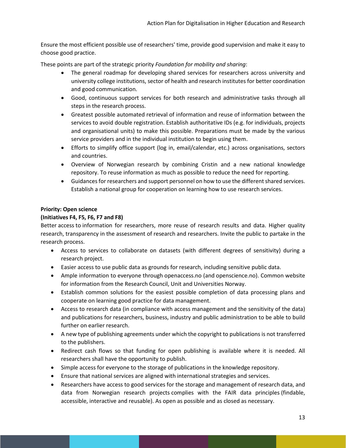Ensure the most efficient possible use of researchers' time, provide good supervision and make it easy to choose good practice.

These points are part of the strategic priority *Foundation for mobility and sharing*:

- The general roadmap for developing shared services for researchers across university and university college institutions, sector of health and research institutes for better coordination and good communication.
- Good, continuous support services for both research and administrative tasks through all steps in the research process.
- Greatest possible automated retrieval of information and reuse of information between the services to avoid double registration. Establish authoritative IDs (e.g. for individuals, projects and organisational units) to make this possible. Preparations must be made by the various service providers and in the individual institution to begin using them.
- Efforts to simplify office support (log in, email/calendar, etc.) across organisations, sectors and countries.
- Overview of Norwegian research by combining Cristin and a new national knowledge repository. To reuse information as much as possible to reduce the need for reporting.
- Guidances for researchers and support personnel on how to use the different shared services. Establish a national group for cooperation on learning how to use research services.

#### **Priority: Open science**

#### **(Initiatives F4, F5, F6, F7 and F8)**

Better access to information for researchers, more reuse of research results and data. Higher quality research, transparency in the assessment of research and researchers. Invite the public to partake in the research process.

- Access to services to collaborate on datasets (with different degrees of sensitivity) during a research project.
- Easier access to use public data as grounds for research, including sensitive public data.
- Ample information to everyone through openaccess.no (and openscience.no). Common website for information from the Research Council, Unit and Universities Norway.
- Establish common solutions for the easiest possible completion of data processing plans and cooperate on learning good practice for data management.
- Access to research data (in compliance with access management and the sensitivity of the data) and publications for researchers, business, industry and public administration to be able to build further on earlier research.
- A new type of publishing agreements under which the copyright to publications is not transferred to the publishers.
- Redirect cash flows so that funding for open publishing is available where it is needed. All researchers shall have the opportunity to publish.
- Simple access for everyone to the storage of publications in the knowledge repository.
- Ensure that national services are aligned with international strategies and services.
- Researchers have access to good services for the storage and management of research data, and data from Norwegian research projects complies with the FAIR data principles (findable, accessible, interactive and reusable). As open as possible and as closed as necessary.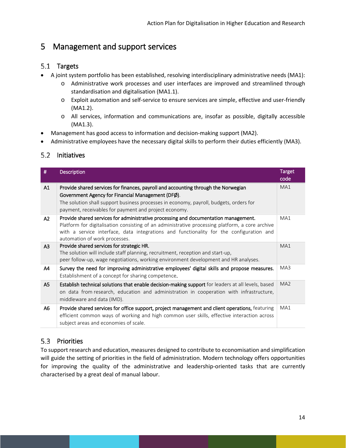# <span id="page-14-0"></span>5 Management and support services

# <span id="page-14-1"></span>5.1 Targets

- A joint system portfolio has been established, resolving interdisciplinary administrative needs (MA1):
	- o Administrative work processes and user interfaces are improved and streamlined through standardisation and digitalisation (MA1.1).
	- o Exploit automation and self-service to ensure services are simple, effective and user-friendly (MA1.2).
	- o All services, information and communications are, insofar as possible, digitally accessible (MA1.3).
- Management has good access to information and decision-making support (MA2).
- Administrative employees have the necessary digital skills to perform their duties efficiently (MA3).

# <span id="page-14-2"></span>5.2 Initiatives

| #              | <b>Description</b>                                                                                                                                                                                                                                                                                                 | <b>Target</b><br>code |
|----------------|--------------------------------------------------------------------------------------------------------------------------------------------------------------------------------------------------------------------------------------------------------------------------------------------------------------------|-----------------------|
| A1             | Provide shared services for finances, payroll and accounting through the Norwegian<br>Government Agency for Financial Management (DFØ).<br>The solution shall support business processes in economy, payroll, budgets, orders for<br>payment, receivables for payment and project economy.                         | MA1                   |
| A2             | Provide shared services for administrative processing and documentation management.<br>Platform for digitalisation consisting of an administrative processing platform, a core archive<br>with a service interface, data integrations and functionality for the configuration and<br>automation of work processes. | MA1                   |
| A <sub>3</sub> | Provide shared services for strategic HR.<br>The solution will include staff planning, recruitment, reception and start-up,<br>peer follow-up, wage negotiations, working environment development and HR analyses.                                                                                                 | MA1                   |
| A4             | Survey the need for improving administrative employees' digital skills and propose measures.<br>Establishment of a concept for sharing competence.                                                                                                                                                                 | MA3                   |
| A <sub>5</sub> | Establish technical solutions that enable decision-making support for leaders at all levels, based<br>on data from research, education and administration in cooperation with infrastructure,<br>middleware and data (IMD).                                                                                        | MA <sub>2</sub>       |
| A6             | Provide shared services for office support, project management and client operations, featuring<br>efficient common ways of working and high common user skills, effective interaction across<br>subject areas and economies of scale.                                                                             | MA1                   |

# <span id="page-14-3"></span>5.3 Priorities

To support research and education, measures designed to contribute to economisation and simplification will guide the setting of priorities in the field of administration. Modern technology offers opportunities for improving the quality of the administrative and leadership-oriented tasks that are currently characterised by a great deal of manual labour.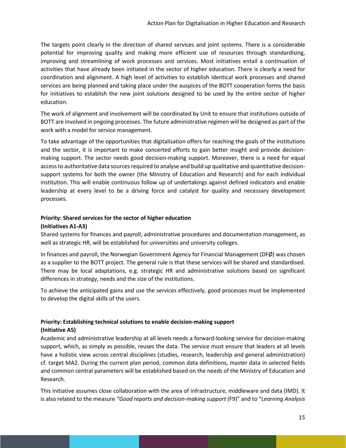The targets point clearly in the direction of shared services and joint systems. There is a considerable potential for improving quality and making more efficient use of resources through standardising, improving and streamlining of work processes and services. Most initiatives entail a continuation of activities that have already been initiated in the sector of higher education. There is clearly a need for coordination and alignment. A high level of activities to establish identical work processes and shared services are being planned and taking place under the auspices of the BOTT cooperation forms the basis for initiatives to establish the new joint solutions designed to be used by the entire sector of higher education.

The work of alignment and involvement will be coordinated by Unit to ensure that institutions outside of BOTT are involved in ongoing processes. The future administrative regimen will be designed as part of the work with a model for service management.

To take advantage of the opportunities that digitalisation offers for reaching the goals of the institutions and the sector, it is important to make concerted efforts to gain better insight and provide decisionmaking support. The sector needs good decision-making support. Moreover, there is a need for equal access to authoritative data sources required to analyse and build up qualitative and quantitative decisionsupport systems for both the owner (the Ministry of Education and Research) and for each individual institution. This will enable continuous follow up of undertakings against defined indicators and enable leadership at every level to be a driving force and catalyst for quality and necessary development processes.

#### **Priority: Shared services for the sector of higher education**

#### **(Initiatives A1-A3)**

Shared systems for finances and payroll, administrative procedures and documentation management, as well as strategic HR, will be established for universities and university colleges.

In finances and payroll, the Norwegian Government Agency for Financial Management (DFØ) was chosen as a supplier to the BOTT project. The general rule is that these services will be shared and standardised. There may be local adaptations, e.g. strategic HR and administrative solutions based on significant differences in strategy, needs and the size of the institutions.

To achieve the anticipated gains and use the services effectively, good processes must be implemented to develop the digital skills of the users.

#### **Priority: Establishing technical solutions to enable decision-making support**

#### **(Initiative A5)**

Academic and administrative leadership at all levels needs a forward-looking service for decision-making support, which, as simply as possible, reuses the data. The service must ensure that leaders at all levels have a holistic view across central disciplines (studies, research, leadership and general administration) cf. target MA2. During the current plan period, common data definitions, master data in selected fields and common central parameters will be established based on the needs of the Ministry of Education and Research.

This initiative assumes close collaboration with the area of infrastructure, middleware and data (IMD). It is also related to the measure *"Good reports and decision-making support* (F9)" and to "*Learning Analysis*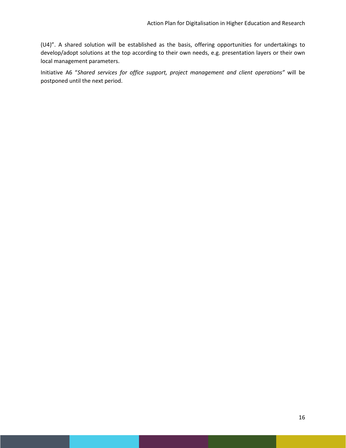(U4)". A shared solution will be established as the basis, offering opportunities for undertakings to develop/adopt solutions at the top according to their own needs, e.g. presentation layers or their own local management parameters.

Initiative A6 "*Shared services for office support, project management and client operations"* will be postponed until the next period.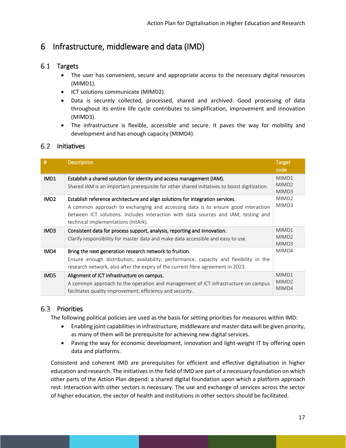# <span id="page-17-0"></span>6 Infrastructure, middleware and data (IMD)

## <span id="page-17-1"></span>6.1 Targets

- The user has convenient, secure and appropriate access to the necessary digital resources (MIMD1).
- ICT solutions communicate (MIMD2).
- Data is securely collected, processed, shared and archived. Good processing of data throughout its entire life cycle contributes to simplification, improvement and innovation (MIMD3).
- The infrastructure is flexible, accessible and secure. It paves the way for mobility and development and has enough capacity (MIMD4).

#### <span id="page-17-2"></span>6.2 Initiatives

| #                | <b>Description</b>                                                                                                                                                                                                                                                                              | <b>Target</b><br>code               |
|------------------|-------------------------------------------------------------------------------------------------------------------------------------------------------------------------------------------------------------------------------------------------------------------------------------------------|-------------------------------------|
| IMD1             | Establish a shared solution for identity and access management (IAM).<br>Shared IAM is an important prerequisite for other shared initiatives to boost digitization.                                                                                                                            | MIMD1<br>MIMD <sub>2</sub><br>MIMD3 |
| IMD <sub>2</sub> | Establish reference architecture and align solutions for integration services.<br>A common approach to exchanging and accessing data is to ensure good interaction<br>between ICT solutions. Includes interaction with data sources and IAM, testing and<br>technical implementations (IntArk). | MIMD <sub>2</sub><br>MIMD3          |
| IMD3             | Consistent data for process support, analysis, reporting and innovation.<br>Clarify responsibility for master data and make data accessible and easy to use.                                                                                                                                    | MIMD1<br>MIMD <sub>2</sub><br>MIMD3 |
| IMD4             | Bring the next generation research network to fruition.<br>Ensure enough distribution, availability, performance, capacity and flexibility in the<br>research network, also after the expiry of the current fibre agreement in 2023.                                                            | MIMD4                               |
| IMD5             | Alignment of ICT infrastructure on campus.<br>A common approach to the operation and management of ICT infrastructure on campus<br>facilitates quality improvement, efficiency and security.                                                                                                    | MIMD1<br>MIMD <sub>2</sub><br>MIMD4 |

## <span id="page-17-3"></span>6.3 Priorities

The following political policies are used as the basis for setting priorities for measures within IMD:

- Enabling joint capabilities in infrastructure, middleware and master data will be given priority, as many of them will be prerequisite for achieving new digital services.
- Paving the way for economic development, innovation and light-weight IT by offering open data and platforms.

Consistent and coherent IMD are prerequisites for efficient and effective digitalisation in higher education and research. The initiatives in the field of IMD are part of a necessary foundation on which other parts of the Action Plan depend: a shared digital foundation upon which a platform approach rest. Interaction with other sectors is necessary. The use and exchange of services across the sector of higher education, the sector of health and institutions in other sectors should be facilitated.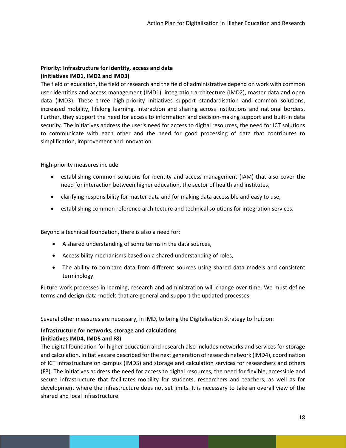#### **Priority: Infrastructure for identity, access and data (initiatives IMD1, IMD2 and IMD3)**

The field of education, the field of research and the field of administrative depend on work with common user identities and access management (IMD1), integration architecture (IMD2), master data and open data (IMD3). These three high-priority initiatives support standardisation and common solutions, increased mobility, lifelong learning, interaction and sharing across institutions and national borders. Further, they support the need for access to information and decision-making support and built-in data security. The initiatives address the user's need for access to digital resources, the need for ICT solutions to communicate with each other and the need for good processing of data that contributes to simplification, improvement and innovation.

High-priority measures include

- establishing common solutions for identity and access management (IAM) that also cover the need for interaction between higher education, the sector of health and institutes,
- clarifying responsibility for master data and for making data accessible and easy to use,
- establishing common reference architecture and technical solutions for integration services.

Beyond a technical foundation, there is also a need for:

- A shared understanding of some terms in the data sources,
- Accessibility mechanisms based on a shared understanding of roles,
- The ability to compare data from different sources using shared data models and consistent terminology.

Future work processes in learning, research and administration will change over time. We must define terms and design data models that are general and support the updated processes.

Several other measures are necessary, in IMD, to bring the Digitalisation Strategy to fruition:

#### **Infrastructure for networks, storage and calculations (initiatives IMD4, IMD5 and F8)**

The digital foundation for higher education and research also includes networks and services for storage and calculation. Initiatives are described for the next generation of research network (IMD4), coordination of ICT infrastructure on campus (IMD5) and storage and calculation services for researchers and others (F8). The initiatives address the need for access to digital resources, the need for flexible, accessible and secure infrastructure that facilitates mobility for students, researchers and teachers, as well as for development where the infrastructure does not set limits. It is necessary to take an overall view of the shared and local infrastructure.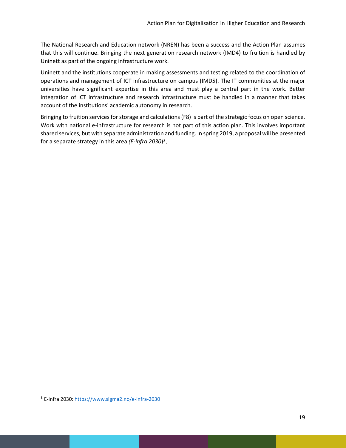The National Research and Education network (NREN) has been a success and the Action Plan assumes that this will continue. Bringing the next generation research network (IMD4) to fruition is handled by Uninett as part of the ongoing infrastructure work.

Uninett and the institutions cooperate in making assessments and testing related to the coordination of operations and management of ICT infrastructure on campus (IMD5). The IT communities at the major universities have significant expertise in this area and must play a central part in the work. Better integration of ICT infrastructure and research infrastructure must be handled in a manner that takes account of the institutions' academic autonomy in research.

Bringing to fruition services for storage and calculations (F8) is part of the strategic focus on open science. Work with national e-infrastructure for research is not part of this action plan. This involves important shared services, but with separate administration and funding. In spring 2019, a proposal will be presented for a separate strategy in this area *(E-infra 2030*)[8](#page-19-0) .

<span id="page-19-0"></span> <sup>8</sup> E-infra 2030:<https://www.sigma2.no/e-infra-2030>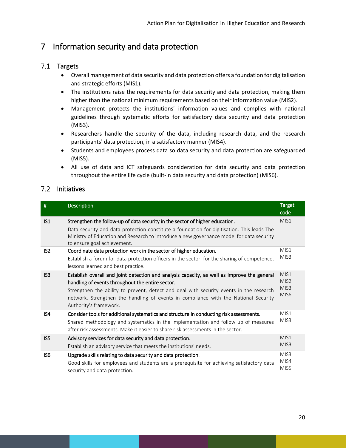# <span id="page-20-0"></span>7 Information security and data protection

## <span id="page-20-1"></span>7.1 Targets

- Overall management of data security and data protection offers a foundation for digitalisation and strategic efforts (MIS1).
- The institutions raise the requirements for data security and data protection, making them higher than the national minimum requirements based on their information value (MIS2).
- Management protects the institutions' information values and complies with national guidelines through systematic efforts for satisfactory data security and data protection (MIS3).
- Researchers handle the security of the data, including research data, and the research participants' data protection, in a satisfactory manner (MIS4).
- Students and employees process data so data security and data protection are safeguarded (MIS5).
- All use of data and ICT safeguards consideration for data security and data protection throughout the entire life cycle (built-in data security and data protection) (MIS6).

## <span id="page-20-2"></span>7.2 Initiatives

| #               | <b>Description</b>                                                                                                                                                                                                                                                                                                                                          | <b>Target</b><br>code                                            |
|-----------------|-------------------------------------------------------------------------------------------------------------------------------------------------------------------------------------------------------------------------------------------------------------------------------------------------------------------------------------------------------------|------------------------------------------------------------------|
| IS <sub>1</sub> | Strengthen the follow-up of data security in the sector of higher education.<br>Data security and data protection constitute a foundation for digitisation. This leads The<br>Ministry of Education and Research to introduce a new governance model for data security<br>to ensure goal achievement.                                                       | MIS1                                                             |
| IS <sub>2</sub> | Coordinate data protection work in the sector of higher education.<br>Establish a forum for data protection officers in the sector, for the sharing of competence,<br>lessons learned and best practice.                                                                                                                                                    | MIS1<br>MIS <sub>3</sub>                                         |
| IS <sub>3</sub> | Establish overall and joint detection and analysis capacity, as well as improve the general<br>handling of events throughout the entire sector.<br>Strengthen the ability to prevent, detect and deal with security events in the research<br>network. Strengthen the handling of events in compliance with the National Security<br>Authority's framework. | MIS1<br>MIS <sub>2</sub><br>MIS <sub>3</sub><br>MIS <sub>6</sub> |
| IS4             | Consider tools for additional systematics and structure in conducting risk assessments.<br>Shared methodology and systematics in the implementation and follow up of measures<br>after risk assessments. Make it easier to share risk assessments in the sector.                                                                                            | MIS1<br>MIS3                                                     |
| IS <sub>5</sub> | Advisory services for data security and data protection.<br>Establish an advisory service that meets the institutions' needs.                                                                                                                                                                                                                               | MIS1<br>MIS3                                                     |
| IS <sub>6</sub> | Upgrade skills relating to data security and data protection.<br>Good skills for employees and students are a prerequisite for achieving satisfactory data<br>security and data protection.                                                                                                                                                                 | MIS <sub>3</sub><br>MIS4<br>MIS5                                 |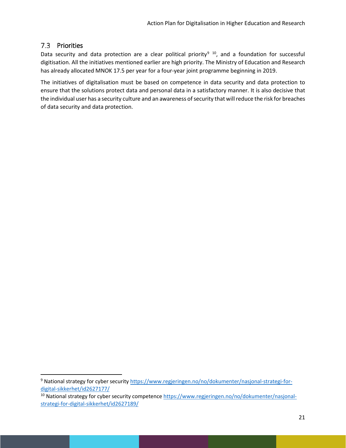# <span id="page-21-0"></span>7.3 Priorities

Data security and data protection are a clear political priority<sup>[9](#page-21-1) 10</sup>, and a foundation for successful digitisation. All the initiatives mentioned earlier are high priority. The Ministry of Education and Research has already allocated MNOK 17.5 per year for a four-year joint programme beginning in 2019.

The initiatives of digitalisation must be based on competence in data security and data protection to ensure that the solutions protect data and personal data in a satisfactory manner. It is also decisive that the individual user has a security culture and an awareness of security that will reduce the risk for breaches of data security and data protection.

<span id="page-21-1"></span><sup>&</sup>lt;sup>9</sup> National strategy for cyber securit[y https://www.regjeringen.no/no/dokumenter/nasjonal-strategi-for](https://www.regjeringen.no/no/dokumenter/nasjonal-strategi-for-digital-sikkerhet/id2627177/)[digital-sikkerhet/id2627177/](https://www.regjeringen.no/no/dokumenter/nasjonal-strategi-for-digital-sikkerhet/id2627177/)

<span id="page-21-2"></span><sup>&</sup>lt;sup>10</sup> National strategy for cyber security competence [https://www.regjeringen.no/no/dokumenter/nasjonal](https://www.regjeringen.no/no/dokumenter/nasjonal-strategi-for-digital-sikkerhet/id2627189/)[strategi-for-digital-sikkerhet/id2627189/](https://www.regjeringen.no/no/dokumenter/nasjonal-strategi-for-digital-sikkerhet/id2627189/)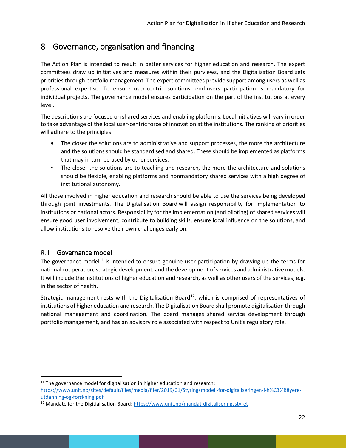# <span id="page-22-0"></span>8 Governance, organisation and financing

The Action Plan is intended to result in better services for higher education and research. The expert committees draw up initiatives and measures within their purviews, and the Digitalisation Board sets priorities through portfolio management. The expert committees provide support among users as well as professional expertise. To ensure user-centric solutions, end-users participation is mandatory for individual projects. The governance model ensures participation on the part of the institutions at every level.

The descriptions are focused on shared services and enabling platforms. Local initiatives will vary in order to take advantage of the local user-centric force of innovation at the institutions. The ranking of priorities will adhere to the principles:

- The closer the solutions are to administrative and support processes, the more the architecture and the solutions should be standardised and shared. These should be implemented as platforms that may in turn be used by other services.
- The closer the solutions are to teaching and research, the more the architecture and solutions should be flexible, enabling platforms and nonmandatory shared services with a high degree of institutional autonomy.

All those involved in higher education and research should be able to use the services being developed through joint investments. The Digitalisation Board will assign responsibility for implementation to institutions or national actors. Responsibility for the implementation (and piloting) of shared services will ensure good user involvement, contribute to building skills, ensure local influence on the solutions, and allow institutions to resolve their own challenges early on.

## <span id="page-22-1"></span>8.1 Governance model

The governance model<sup>[11](#page-22-2)</sup> is intended to ensure genuine user participation by drawing up the terms for national cooperation, strategic development, and the development of services and administrative models. It will include the institutions of higher education and research, as well as other users of the services, e.g. in the sector of health.

Strategic management rests with the Digitalisation Board<sup>[12](#page-22-3)</sup>, which is comprised of representatives of institutions of higher education and research. The Digitalisation Board shall promote digitalisation through national management and coordination. The board manages shared service development through portfolio management, and has an advisory role associated with respect to Unit's regulatory role.

<span id="page-22-2"></span> $11$  The governance model for digitalisation in higher education and research:

https://www.unit.no/sites/default/files/media/filer/2019/01/Styringsmodell-for-digitaliseringen-i-h%C3%B8yereutdanning-og-forskning.pdf

<span id="page-22-3"></span><sup>12</sup> Mandate for the Digitiailsation Board:<https://www.unit.no/mandat-digitaliseringsstyret>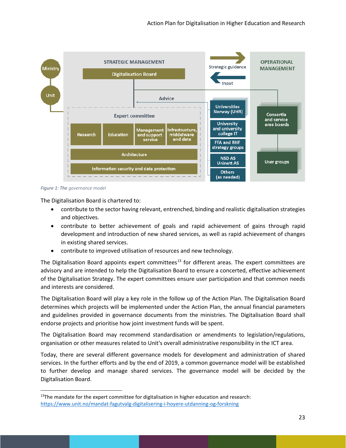

*Figure 1: The governance model*

The Digitalisation Board is chartered to:

- contribute to the sector having relevant, entrenched, binding and realistic digitalisation strategies and objectives.
- contribute to better achievement of goals and rapid achievement of gains through rapid development and introduction of new shared services, as well as rapid achievement of changes in existing shared services.
- contribute to improved utilisation of resources and new technology.

The Digitalisation Board appoints expert committees<sup>[13](#page-23-0)</sup> for different areas. The expert committees are advisory and are intended to help the Digitalisation Board to ensure a concerted, effective achievement of the Digitalisation Strategy. The expert committees ensure user participation and that common needs and interests are considered.

The Digitalisation Board will play a key role in the follow up of the Action Plan. The Digitalisation Board determines which projects will be implemented under the Action Plan, the annual financial parameters and guidelines provided in governance documents from the ministries. The Digitalisation Board shall endorse projects and prioritise how joint investment funds will be spent.

The Digitalisation Board may recommend standardisation or amendments to legislation/regulations, organisation or other measures related to Unit's overall administrative responsibility in the ICT area.

Today, there are several different governance models for development and administration of shared services. In the further efforts and by the end of 2019, a common governance model will be established to further develop and manage shared services. The governance model will be decided by the Digitalisation Board.

<span id="page-23-0"></span> $13$ The mandate for the expert committee for digitalisation in higher education and research: <https://www.unit.no/mandat-fagutvalg-digitalisering-i-hoyere-utdanning-og-forskning>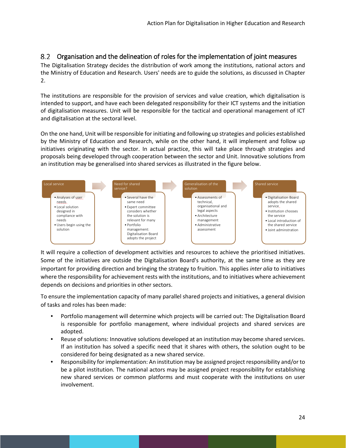#### <span id="page-24-0"></span>Organisation and the delineation of roles for the implementation of joint measures

The Digitalisation Strategy decides the distribution of work among the institutions, national actors and the Ministry of Education and Research. Users' needs are to guide the solutions, as discussed in Chapter 2.

The institutions are responsible for the provision of services and value creation, which digitalisation is intended to support, and have each been delegated responsibility for their ICT systems and the initiation of digitalisation measures. Unit will be responsible for the tactical and operational management of ICT and digitalisation at the sectoral level.

On the one hand, Unit will be responsible for initiating and following up strategies and policies established by the Ministry of Education and Research, while on the other hand, it will implement and follow up initiatives originating with the sector. In actual practice, this will take place through strategies and proposals being developed through cooperation between the sector and Unit. Innovative solutions from an institution may be generalised into shared services as illustrated in the figure below.



It will require a collection of development activities and resources to achieve the prioritised initiatives. Some of the initiatives are outside the Digitalisation Board's authority, at the same time as they are important for providing direction and bringing the strategy to fruition. This applies *inter alia* to initiatives where the responsibility for achievement rests with the institutions, and to initiatives where achievement depends on decisions and priorities in other sectors.

To ensure the implementation capacity of many parallel shared projects and initiatives, a general division of tasks and roles has been made:

- Portfolio management will determine which projects will be carried out: The Digitalisation Board is responsible for portfolio management, where individual projects and shared services are adopted.
- Reuse of solutions: Innovative solutions developed at an institution may become shared services. If an institution has solved a specific need that it shares with others, the solution ought to be considered for being designated as a new shared service.
- Responsibility for implementation: An institution may be assigned project responsibility and/or to be a pilot institution. The national actors may be assigned project responsibility for establishing new shared services or common platforms and must cooperate with the institutions on user involvement.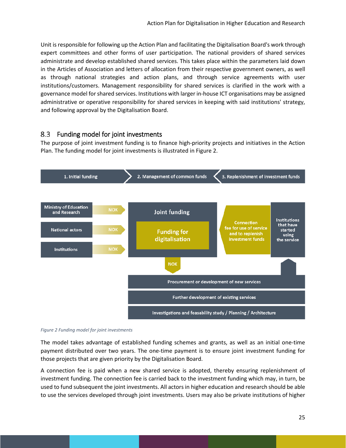Unit is responsible for following up the Action Plan and facilitating the Digitalisation Board's work through expert committees and other forms of user participation. The national providers of shared services administrate and develop established shared services. This takes place within the parameters laid down in the Articles of Association and letters of allocation from their respective government owners, as well as through national strategies and action plans, and through service agreements with user institutions/customers. Management responsibility for shared services is clarified in the work with a governance model for shared services. Institutions with larger in-house ICT organisations may be assigned administrative or operative responsibility for shared services in keeping with said institutions' strategy, and following approval by the Digitalisation Board.

#### <span id="page-25-0"></span>8.3 Funding model for joint investments

The purpose of joint investment funding is to finance high-priority projects and initiatives in the Action Plan. The funding model for joint investments is illustrated i[n Figure 2.](#page-25-1)



<span id="page-25-1"></span>*Figure 2 Funding model for joint investments*

The model takes advantage of established funding schemes and grants, as well as an initial one-time payment distributed over two years. The one-time payment is to ensure joint investment funding for those projects that are given priority by the Digitalisation Board.

A connection fee is paid when a new shared service is adopted, thereby ensuring replenishment of investment funding. The connection fee is carried back to the investment funding which may, in turn, be used to fund subsequent the joint investments. All actors in higher education and research should be able to use the services developed through joint investments. Users may also be private institutions of higher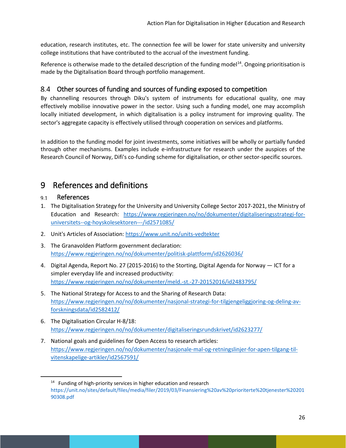education, research institutes, etc. The connection fee will be lower for state university and university college institutions that have contributed to the accrual of the investment funding.

Reference is otherwise made to the detailed description of the funding model<sup>[14](#page-26-3)</sup>. Ongoing prioritisation is made by the Digitalisation Board through portfolio management.

## <span id="page-26-0"></span>Other sources of funding and sources of funding exposed to competition

By channelling resources through Diku's system of instruments for educational quality, one may effectively mobilise innovative power in the sector. Using such a funding model, one may accomplish locally initiated development, in which digitalisation is a policy instrument for improving quality. The sector's aggregate capacity is effectively utilised through cooperation on services and platforms.

In addition to the funding model for joint investments, some initiatives will be wholly or partially funded through other mechanisms. Examples include e-infrastructure for research under the auspices of the Research Council of Norway, Difi's co-funding scheme for digitalisation, or other sector-specific sources.

# <span id="page-26-1"></span>9 References and definitions

#### <span id="page-26-2"></span>References  $9.1$

- 1. The Digitalisation Strategy for the University and University College Sector 2017-2021, the Ministry of Education and Research: [https://www.regjeringen.no/no/dokumenter/digitaliseringsstrategi-for](https://www.regjeringen.no/no/dokumenter/digitaliseringsstrategi-for-universitets--og-hoyskolesektoren---/id2571085/)[universitets--og-hoyskolesektoren---/id2571085/](https://www.regjeringen.no/no/dokumenter/digitaliseringsstrategi-for-universitets--og-hoyskolesektoren---/id2571085/)
- 2. Unit's Articles of Association:<https://www.unit.no/units-vedtekter>
- 3. The Granavolden Platform government declaration: <https://www.regjeringen.no/no/dokumenter/politisk-plattform/id2626036/>
- 4. Digital Agenda, Report No. 27 (2015-2016) to the Storting, Digital Agenda for Norway ICT for a simpler everyday life and increased productivity: <https://www.regjeringen.no/no/dokumenter/meld.-st.-27-20152016/id2483795/>
- 5. The National Strategy for Access to and the Sharing of Research Data: [https://www.regjeringen.no/no/dokumenter/nasjonal-strategi-for-tilgjengeliggjoring-og-deling-av](https://www.regjeringen.no/no/dokumenter/nasjonal-strategi-for-tilgjengeliggjoring-og-deling-av-forskningsdata/id2582412/)[forskningsdata/id2582412/](https://www.regjeringen.no/no/dokumenter/nasjonal-strategi-for-tilgjengeliggjoring-og-deling-av-forskningsdata/id2582412/)
- 6. The Digitalisation Circular H-8/18: <https://www.regjeringen.no/no/dokumenter/digitaliseringsrundskrivet/id2623277/>
- 7. National goals and guidelines for Open Access to research articles: [https://www.regjeringen.no/no/dokumenter/nasjonale-mal-og-retningslinjer-for-apen-tilgang-til](https://www.regjeringen.no/no/dokumenter/nasjonale-mal-og-retningslinjer-for-apen-tilgang-til-vitenskapelige-artikler/id2567591/)[vitenskapelige-artikler/id2567591/](https://www.regjeringen.no/no/dokumenter/nasjonale-mal-og-retningslinjer-for-apen-tilgang-til-vitenskapelige-artikler/id2567591/)

<span id="page-26-3"></span><sup>&</sup>lt;sup>14</sup> Funding of high-priority services in higher education and research [https://unit.no/sites/default/files/media/filer/2019/03/Finansiering%20av%20prioriterte%20tjenester%20201](https://unit.no/sites/default/files/media/filer/2019/03/Finansiering%20av%20prioriterte%20tjenester%2020190308.pdf) [90308.pdf](https://unit.no/sites/default/files/media/filer/2019/03/Finansiering%20av%20prioriterte%20tjenester%2020190308.pdf)